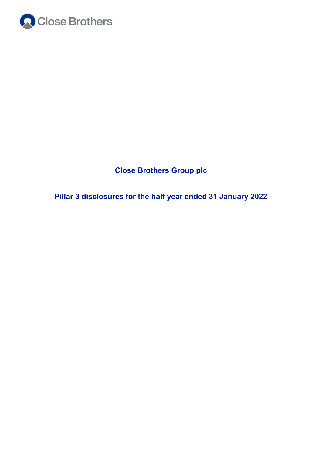

**Close Brothers Group plc**

**Pillar 3 disclosures for the half year ended 31 January 2022**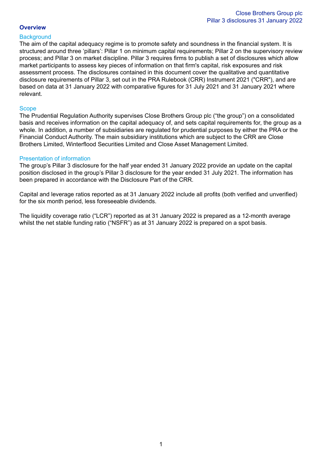# **Overview**

## **Background**

The aim of the capital adequacy regime is to promote safety and soundness in the financial system. It is structured around three 'pillars': Pillar 1 on minimum capital requirements; Pillar 2 on the supervisory review process; and Pillar 3 on market discipline. Pillar 3 requires firms to publish a set of disclosures which allow market participants to assess key pieces of information on that firm's capital, risk exposures and risk assessment process. The disclosures contained in this document cover the qualitative and quantitative disclosure requirements of Pillar 3, set out in the PRA Rulebook (CRR) Instrument 2021 ("CRR"), and are based on data at 31 January 2022 with comparative figures for 31 July 2021 and 31 January 2021 where relevant.

### **Scope**

The Prudential Regulation Authority supervises Close Brothers Group plc ("the group") on a consolidated basis and receives information on the capital adequacy of, and sets capital requirements for, the group as a whole. In addition, a number of subsidiaries are regulated for prudential purposes by either the PRA or the Financial Conduct Authority. The main subsidiary institutions which are subject to the CRR are Close Brothers Limited, Winterflood Securities Limited and Close Asset Management Limited.

## Presentation of information

The group's Pillar 3 disclosure for the half year ended 31 January 2022 provide an update on the capital position disclosed in the group's Pillar 3 disclosure for the year ended 31 July 2021. The information has been prepared in accordance with the Disclosure Part of the CRR.

Capital and leverage ratios reported as at 31 January 2022 include all profits (both verified and unverified) for the six month period, less foreseeable dividends.

The liquidity coverage ratio ("LCR") reported as at 31 January 2022 is prepared as a 12-month average whilst the net stable funding ratio ("NSFR") as at 31 January 2022 is prepared on a spot basis.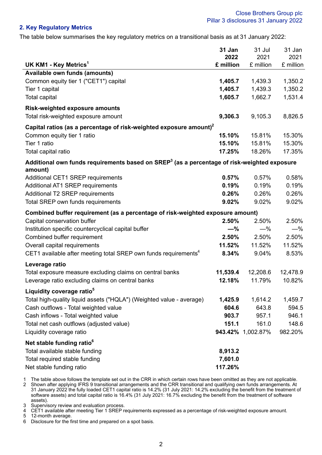# **2. Key Regulatory Metrics**

The table below summarises the key regulatory metrics on a transitional basis as at 31 January 2022:

|                                                                                                                    | 31 Jan<br>2022 | 31 Jul<br>2021    | 31 Jan<br>2021 |
|--------------------------------------------------------------------------------------------------------------------|----------------|-------------------|----------------|
| UK KM1 - Key Metrics <sup>1</sup>                                                                                  | £ million      | £ million         | £ million      |
| Available own funds (amounts)                                                                                      |                |                   |                |
| Common equity tier 1 ("CET1") capital                                                                              | 1,405.7        | 1,439.3           | 1,350.2        |
| Tier 1 capital                                                                                                     | 1,405.7        | 1,439.3           | 1,350.2        |
| <b>Total capital</b>                                                                                               | 1,605.7        | 1,662.7           | 1,531.4        |
| <b>Risk-weighted exposure amounts</b>                                                                              |                |                   |                |
| Total risk-weighted exposure amount                                                                                | 9,306.3        | 9,105.3           | 8,826.5        |
| Capital ratios (as a percentage of risk-weighted exposure amount) <sup>2</sup>                                     |                |                   |                |
| Common equity tier 1 ratio                                                                                         | 15.10%         | 15.81%            | 15.30%         |
| Tier 1 ratio                                                                                                       | 15.10%         | 15.81%            | 15.30%         |
| Total capital ratio                                                                                                | 17.25%         | 18.26%            | 17.35%         |
| Additional own funds requirements based on SREP <sup>3</sup> (as a percentage of risk-weighted exposure<br>amount) |                |                   |                |
| Additional CET1 SREP requirements                                                                                  | 0.57%          | 0.57%             | 0.58%          |
| <b>Additional AT1 SREP requirements</b>                                                                            | 0.19%          | 0.19%             | 0.19%          |
| Additional T2 SREP requirements                                                                                    | 0.26%          | 0.26%             | 0.26%          |
| Total SREP own funds requirements                                                                                  | 9.02%          | 9.02%             | 9.02%          |
| Combined buffer requirement (as a percentage of risk-weighted exposure amount)                                     |                |                   |                |
| Capital conservation buffer                                                                                        | 2.50%          | 2.50%             | 2.50%          |
| Institution specific countercyclical capital buffer                                                                | $-$ %          | $-\%$             | $-\%$          |
| Combined buffer requirement                                                                                        | 2.50%          | 2.50%             | 2.50%          |
| Overall capital requirements                                                                                       | 11.52%         | 11.52%            | 11.52%         |
| CET1 available after meeting total SREP own funds requirements <sup>4</sup>                                        | 8.34%          | 9.04%             | 8.53%          |
| Leverage ratio                                                                                                     |                |                   |                |
| Total exposure measure excluding claims on central banks                                                           | 11,539.4       | 12,208.6          | 12,478.9       |
| Leverage ratio excluding claims on central banks                                                                   | 12.18%         | 11.79%            | 10.82%         |
| Liquidity coverage ratio <sup>5</sup>                                                                              |                |                   |                |
| Total high-quality liquid assets ("HQLA") (Weighted value - average)                                               | 1,425.9        | 1,614.2           | 1,459.7        |
| Cash outflows - Total weighted value                                                                               | 604.6          | 643.8             | 594.5          |
| Cash inflows - Total weighted value                                                                                | 903.7          | 957.1             | 946.1          |
| Total net cash outflows (adjusted value)                                                                           | 151.1          | 161.0             | 148.6          |
| Liquidity coverage ratio                                                                                           |                | 943.42% 1,002.87% | 982.20%        |
| Net stable funding ratio <sup>6</sup>                                                                              |                |                   |                |
| Total available stable funding                                                                                     | 8,913.2        |                   |                |
| Total required stable funding                                                                                      | 7,601.0        |                   |                |
| Net stable funding ratio                                                                                           | 117.26%        |                   |                |

1 The table above follows the template set out in the CRR in which certain rows have been omitted as they are not applicable.<br>2 Shown after applying IFRS 9 transitional arrangements and the CRR transitional and qualifying

2 Shown after applying IFRS 9 transitional arrangements and the CRR transitional and qualifying own funds arrangements. At 31 January 2022 the fully loaded CET1 capital ratio is 14.2% (31 July 2021: 14.2% excluding the benefit from the treatment of software assets) and total capital ratio is 16.4% (31 July 2021: 16.7% excluding the benefit from the treatment of software assets).

3 Supervisory review and evaluation process.<br>4 CET1 available after meeting Tier 1 SREP re

4 CET1 available after meeting Tier 1 SREP requirements expressed as a percentage of risk-weighted exposure amount.

5 12-month average.

6 Disclosure for the first time and prepared on a spot basis.